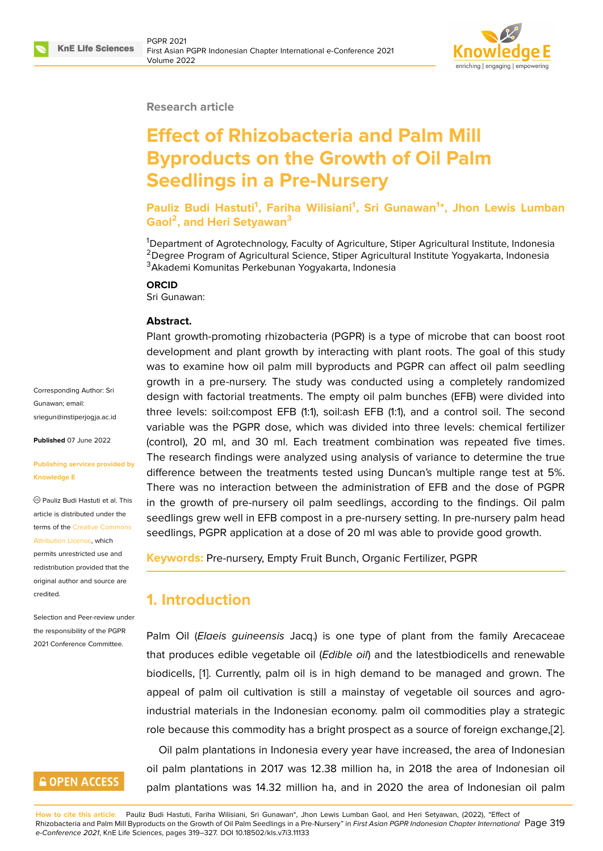

### **Research article**

# **Effect of Rhizobacteria and Palm Mill Byproducts on the Growth of Oil Palm Seedlings in a Pre-Nursery**

**Pauliz Budi Hastuti<sup>1</sup> , Fariha Wilisiani<sup>1</sup> , Sri Gunawan<sup>1</sup> \*, Jhon Lewis Lumban Gaol<sup>2</sup> , and Heri Setyawan<sup>3</sup>**

<sup>1</sup>Department of Agrotechnology, Faculty of Agriculture, Stiper Agricultural Institute, Indonesia <sup>2</sup>Degree Program of Agricultural Science, Stiper Agricultural Institute Yogyakarta, Indonesia <sup>3</sup>Akademi Komunitas Perkebunan Yogyakarta, Indonesia

#### **ORCID**

Sri Gunawan:

#### **Abstract.**

Plant growth-promoting rhizobacteria (PGPR) is a type of microbe that can boost root development and plant growth by interacting with plant roots. The goal of this study was to examine how oil palm mill byproducts and PGPR can affect oil palm seedling growth in a pre-nursery. The study was conducted using a completely randomized design with factorial treatments. The empty oil palm bunches (EFB) were divided into three levels: soil:compost EFB (1:1), soil:ash EFB (1:1), and a control soil. The second variable was the PGPR dose, which was divided into three levels: chemical fertilizer (control), 20 ml, and 30 ml. Each treatment combination was repeated five times. The research findings were analyzed using analysis of variance to determine the true difference between the treatments tested using Duncan's multiple range test at 5%. There was no interaction between the administration of EFB and the dose of PGPR in the growth of pre-nursery oil palm seedlings, according to the findings. Oil palm seedlings grew well in EFB compost in a pre-nursery setting. In pre-nursery palm head seedlings, PGPR application at a dose of 20 ml was able to provide good growth.

**Keywords:** Pre-nursery, Empty Fruit Bunch, Organic Fertilizer, PGPR

### **1. Introduction**

Palm Oil (*Elaeis guineensis* Jacq.) is one type of plant from the family Arecaceae that produces edible vegetable oil (*Edible oil*) and the latestbiodicells and renewable biodicells, [1]. Currently, palm oil is in high demand to be managed and grown. The appeal of palm oil cultivation is still a mainstay of vegetable oil sources and agroindustrial materials in the Indonesian economy. palm oil commodities play a strategic role becau[se](#page-6-0) this commodity has a bright prospect as a source of foreign exchange,[2].

Oil palm plantations in Indonesia every year have increased, the area of Indonesian oil palm plantations in 2017 was 12.38 million ha, in 2018 the area of Indonesian oil palm plantations was 14.32 million ha, and in 2020 the area of Indonesian oil p[alm](#page-6-1)

Corresponding Author: Sri Gunawan; email: sriegun@instiperjogja.ac.id

**Published** 07 June 2022

#### **[Publishing services provid](mailto:sriegun@instiperjogja.ac.id)ed by Knowledge E**

Pauliz Budi Hastuti et al. This article is distributed under the terms of the Creative Commons Attribution License, which

permits unrestricted use and redistribution provided that the original auth[or and source are](https://creativecommons.org/licenses/by/4.0/) [credited.](https://creativecommons.org/licenses/by/4.0/)

Selection and Peer-review under the responsibility of the PGPR 2021 Conference Committee.

# **GOPEN ACCESS**

**How to cite this article**: Pauliz Budi Hastuti, Fariha Wilisiani, Sri Gunawan\*, Jhon Lewis Lumban Gaol, and Heri Setyawan, (2022), "Effect of Rhizobacteria and Palm Mill Byproducts on the Growth of Oil Palm Seedlings in a Pre-Nursery" in *First Asian PGPR Indonesian Chapter International* Page 319 *e-Conference 2021*, KnE Life Sciences, pages 319–327. DOI 10.18502/kls.v7i3.11133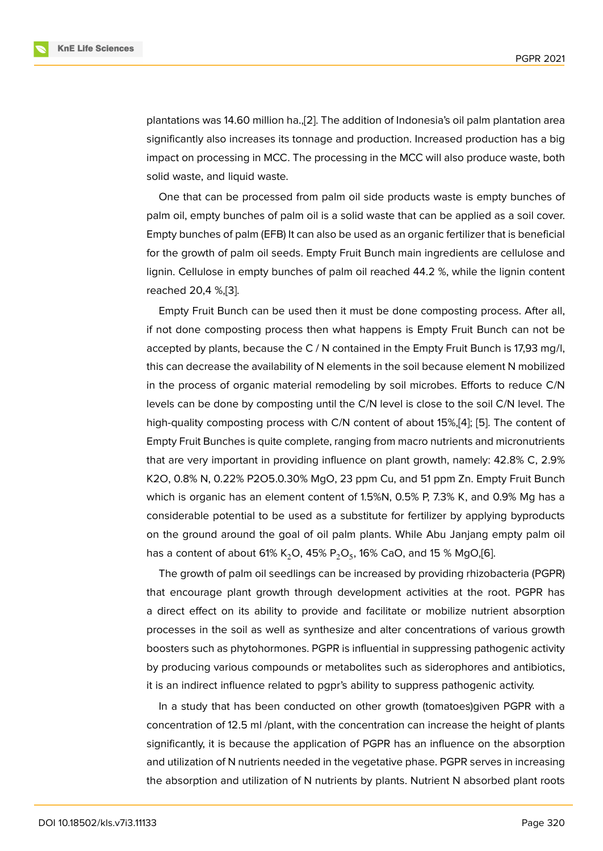plantations was 14.60 million ha.,[2]. The addition of Indonesia's oil palm plantation area significantly also increases its tonnage and production. Increased production has a big impact on processing in MCC. The processing in the MCC will also produce waste, both solid waste, and liquid waste.

One that can be processed from palm oil side products waste is empty bunches of palm oil, empty bunches of palm oil is a solid waste that can be applied as a soil cover. Empty bunches of palm (EFB) It can also be used as an organic fertilizer that is beneficial for the growth of palm oil seeds. Empty Fruit Bunch main ingredients are cellulose and lignin. Cellulose in empty bunches of palm oil reached 44.2 %, while the lignin content reached 20,4 %,[3].

Empty Fruit Bunch can be used then it must be done composting process. After all, if not done composting process then what happens is Empty Fruit Bunch can not be accepted by pla[nts](#page-6-2), because the C / N contained in the Empty Fruit Bunch is 17,93 mg/l, this can decrease the availability of N elements in the soil because element N mobilized in the process of organic material remodeling by soil microbes. Efforts to reduce C/N levels can be done by composting until the C/N level is close to the soil C/N level. The high-quality composting process with C/N content of about 15%,[4]; [5]. The content of Empty Fruit Bunches is quite complete, ranging from macro nutrients and micronutrients that are very important in providing influence on plant growth, namely: 42.8% C, 2.9% K2O, 0.8% N, 0.22% P2O5.0.30% MgO, 23 ppm Cu, and 51 ppm [Zn](#page-7-0). [Em](#page-7-1)pty Fruit Bunch which is organic has an element content of 1.5%N, 0.5% P, 7.3% K, and 0.9% Mg has a considerable potential to be used as a substitute for fertilizer by applying byproducts on the ground around the goal of oil palm plants. While Abu Janjang empty palm oil has a content of about 61% K $_{2}$ O, 45% P $_{2}$ O $_{5}$ , 16% CaO, and 15 % MgO,[6].

The growth of palm oil seedlings can be increased by providing rhizobacteria (PGPR) that encourage plant growth through development activities at the root. PGPR has a direct effect on its ability to provide and facilitate or mobilize nu[tri](#page-7-2)ent absorption processes in the soil as well as synthesize and alter concentrations of various growth boosters such as phytohormones. PGPR is influential in suppressing pathogenic activity by producing various compounds or metabolites such as siderophores and antibiotics, it is an indirect influence related to pgpr's ability to suppress pathogenic activity.

In a study that has been conducted on other growth (tomatoes)given PGPR with a concentration of 12.5 ml /plant, with the concentration can increase the height of plants significantly, it is because the application of PGPR has an influence on the absorption and utilization of N nutrients needed in the vegetative phase. PGPR serves in increasing the absorption and utilization of N nutrients by plants. Nutrient N absorbed plant roots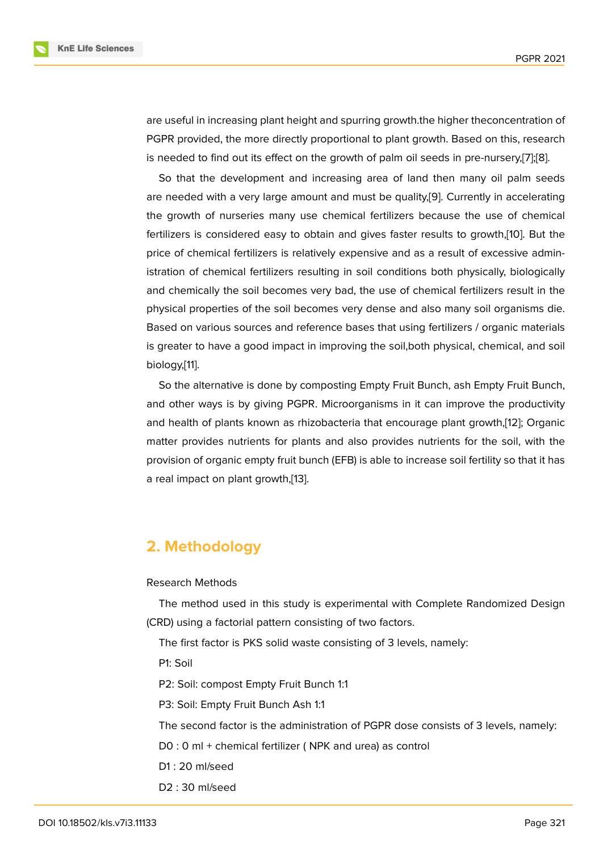are useful in increasing plant height and spurring growth.the higher theconcentration of PGPR provided, the more directly proportional to plant growth. Based on this, research is needed to find out its effect on the growth of palm oil seeds in pre-nursery,[7];[8].

So that the development and increasing area of land then many oil palm seeds are needed with a very large amount and must be quality,[9]. Currently in accelerating the growth of nurseries many use chemical fertilizers because the use of [ch](#page-7-3)[em](#page-7-4)ical fertilizers is considered easy to obtain and gives faster results to growth,[10]. But the price of chemical fertilizers is relatively expensive and as [a r](#page-7-5)esult of excessive administration of chemical fertilizers resulting in soil conditions both physically, biologically and chemically the soil becomes very bad, the use of chemical fertilizers [res](#page-7-6)ult in the physical properties of the soil becomes very dense and also many soil organisms die. Based on various sources and reference bases that using fertilizers / organic materials is greater to have a good impact in improving the soil,both physical, chemical, and soil biology,[11].

So the alternative is done by composting Empty Fruit Bunch, ash Empty Fruit Bunch, and other ways is by giving PGPR. Microorganisms in it can improve the productivity and hea[lth](#page-7-7) of plants known as rhizobacteria that encourage plant growth,[12]; Organic matter provides nutrients for plants and also provides nutrients for the soil, with the provision of organic empty fruit bunch (EFB) is able to increase soil fertility so that it has a real impact on plant growth,[13].

# **2. Methodology**

#### Research Methods

The method used in this study is experimental with Complete Randomized Design (CRD) using a factorial pattern consisting of two factors.

The first factor is PKS solid waste consisting of 3 levels, namely:

P1: Soil

P2: Soil: compost Empty Fruit Bunch 1:1

P3: Soil: Empty Fruit Bunch Ash 1:1

The second factor is the administration of PGPR dose consists of 3 levels, namely:

D0 : 0 ml + chemical fertilizer ( NPK and urea) as control

- D1 : 20 ml/seed
- D2 : 30 ml/seed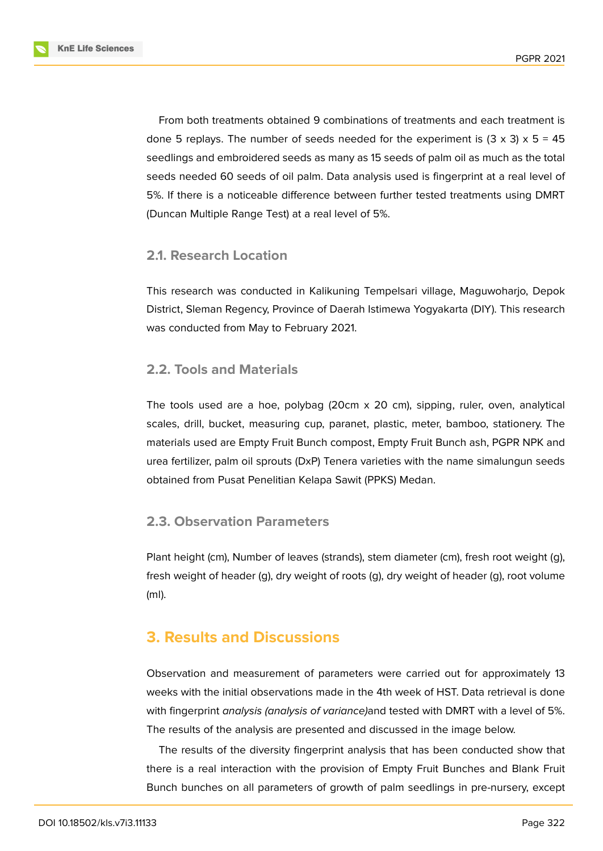

From both treatments obtained 9 combinations of treatments and each treatment is done 5 replays. The number of seeds needed for the experiment is  $(3 \times 3) \times 5 = 45$ seedlings and embroidered seeds as many as 15 seeds of palm oil as much as the total seeds needed 60 seeds of oil palm. Data analysis used is fingerprint at a real level of 5%. If there is a noticeable difference between further tested treatments using DMRT (Duncan Multiple Range Test) at a real level of 5%.

### **2.1. Research Location**

This research was conducted in Kalikuning Tempelsari village, Maguwoharjo, Depok District, Sleman Regency, Province of Daerah Istimewa Yogyakarta (DIY). This research was conducted from May to February 2021.

### **2.2. Tools and Materials**

The tools used are a hoe, polybag (20cm x 20 cm), sipping, ruler, oven, analytical scales, drill, bucket, measuring cup, paranet, plastic, meter, bamboo, stationery. The materials used are Empty Fruit Bunch compost, Empty Fruit Bunch ash, PGPR NPK and urea fertilizer, palm oil sprouts (DxP) Tenera varieties with the name simalungun seeds obtained from Pusat Penelitian Kelapa Sawit (PPKS) Medan.

### **2.3. Observation Parameters**

Plant height (cm), Number of leaves (strands), stem diameter (cm), fresh root weight (g), fresh weight of header (g), dry weight of roots (g), dry weight of header (g), root volume (ml).

# **3. Results and Discussions**

Observation and measurement of parameters were carried out for approximately 13 weeks with the initial observations made in the 4th week of HST. Data retrieval is done with fingerprint *analysis (analysis of variance)*and tested with DMRT with a level of 5%. The results of the analysis are presented and discussed in the image below.

The results of the diversity fingerprint analysis that has been conducted show that there is a real interaction with the provision of Empty Fruit Bunches and Blank Fruit Bunch bunches on all parameters of growth of palm seedlings in pre-nursery, except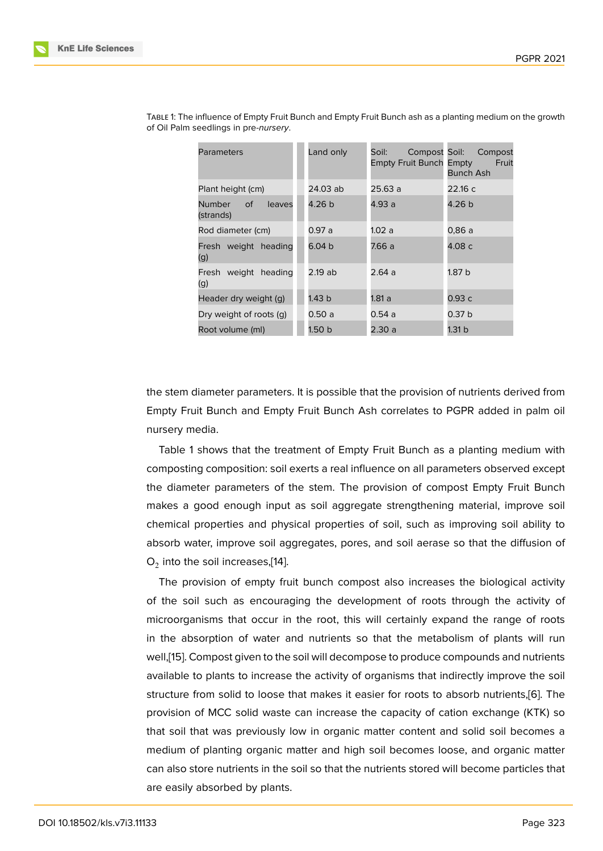| Parameters                                 | Land only | Soil:<br><b>Empty Fruit Bunch Empty</b> | Compost Soil: Compost<br>Fruit<br>Bunch Ash |
|--------------------------------------------|-----------|-----------------------------------------|---------------------------------------------|
| Plant height (cm)                          | 24.03 ab  | 25.63 a                                 | 22.16 с                                     |
| Number<br><b>of</b><br>leaves<br>(strands) | 4.26 b    | 4.93 a                                  | 4.26 b                                      |
| Rod diameter (cm)                          | 0.97 a    | 1.02 a                                  | 0.86 a                                      |
| Fresh weight heading<br>(g)                | 6.04 b    | 7.66 a                                  | 4.08 c                                      |
| Fresh weight heading<br>(g)                | 2.19 ab   | 2.64 a                                  | 1.87 b                                      |
| Header dry weight (g)                      | 1.43 b    | 1.81 a                                  | 0.93 с                                      |
| Dry weight of roots (q)                    | 0.50 a    | 0.54 a                                  | 0.37 b                                      |
| Root volume (ml)                           | 1.50 b    | 2.30 a                                  | 1.31 b                                      |

Table 1: The influence of Empty Fruit Bunch and Empty Fruit Bunch ash as a planting medium on the growth of Oil Palm seedlings in pre-*nursery*.

the stem diameter parameters. It is possible that the provision of nutrients derived from Empty Fruit Bunch and Empty Fruit Bunch Ash correlates to PGPR added in palm oil nursery media.

Table 1 shows that the treatment of Empty Fruit Bunch as a planting medium with composting composition: soil exerts a real influence on all parameters observed except the diameter parameters of the stem. The provision of compost Empty Fruit Bunch makes a good enough input as soil aggregate strengthening material, improve soil chemical properties and physical properties of soil, such as improving soil ability to absorb water, improve soil aggregates, pores, and soil aerase so that the diffusion of  ${\mathsf O}_2$  into the soil increases,[14].

The provision of empty fruit bunch compost also increases the biological activity of the soil such as encouraging the development of roots through the activity of microorganisms that occ[ur i](#page-8-0)n the root, this will certainly expand the range of roots in the absorption of water and nutrients so that the metabolism of plants will run well,[15]. Compost given to the soil will decompose to produce compounds and nutrients available to plants to increase the activity of organisms that indirectly improve the soil structure from solid to loose that makes it easier for roots to absorb nutrients,[6]. The provi[sio](#page-8-1)n of MCC solid waste can increase the capacity of cation exchange (KTK) so that soil that was previously low in organic matter content and solid soil becomes a medium of planting organic matter and high soil becomes loose, and organic [m](#page-7-2)atter can also store nutrients in the soil so that the nutrients stored will become particles that are easily absorbed by plants.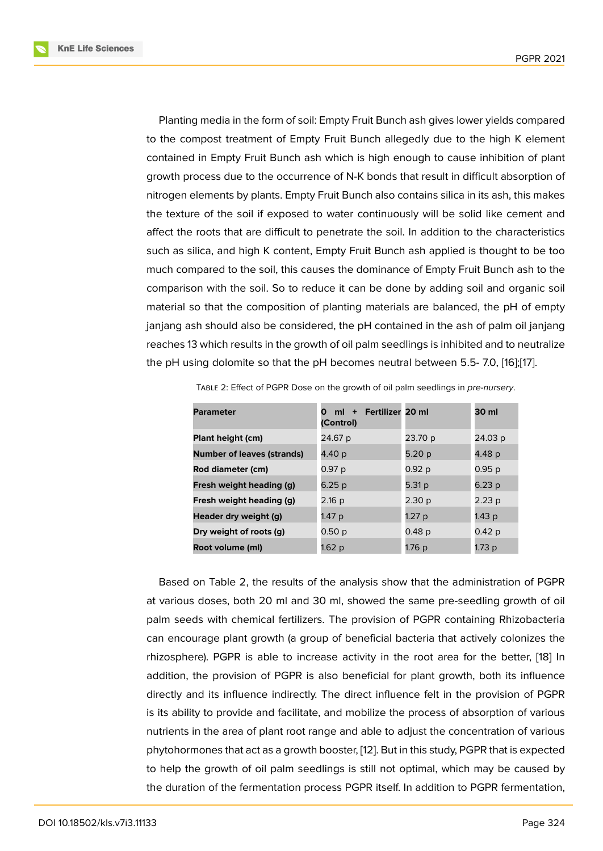Planting media in the form of soil: Empty Fruit Bunch ash gives lower yields compared to the compost treatment of Empty Fruit Bunch allegedly due to the high K element contained in Empty Fruit Bunch ash which is high enough to cause inhibition of plant growth process due to the occurrence of N-K bonds that result in difficult absorption of nitrogen elements by plants. Empty Fruit Bunch also contains silica in its ash, this makes the texture of the soil if exposed to water continuously will be solid like cement and affect the roots that are difficult to penetrate the soil. In addition to the characteristics such as silica, and high K content, Empty Fruit Bunch ash applied is thought to be too much compared to the soil, this causes the dominance of Empty Fruit Bunch ash to the comparison with the soil. So to reduce it can be done by adding soil and organic soil material so that the composition of planting materials are balanced, the pH of empty janjang ash should also be considered, the pH contained in the ash of palm oil janjang reaches 13 which results in the growth of oil palm seedlings is inhibited and to neutralize the pH using dolomite so that the pH becomes neutral between 5.5- 7.0, [16];[17].

| <b>Parameter</b>                  | ml + Fertilizer 20 ml<br>O<br>(Control) |                   | 30 ml             |
|-----------------------------------|-----------------------------------------|-------------------|-------------------|
| Plant height (cm)                 | 24.67 p                                 | 23.70 p           | 24.03 p           |
| <b>Number of leaves (strands)</b> | 4.40 p                                  | 5.20 p            | 4.48 p            |
| Rod diameter (cm)                 | 0.97 p                                  | 0.92 p            | 0.95p             |
| Fresh weight heading (g)          | 6.25 p                                  | 5.31 p            | 6.23 p            |
| Fresh weight heading (g)          | 2.16 p                                  | 2.30 <sub>p</sub> | 2.23p             |
| Header dry weight (g)             | 1.47 p                                  | 1.27 p            | 1.43 p            |
| Dry weight of roots (g)           | 0.50 p                                  | 0.48 p            | 0.42 <sub>p</sub> |
| Root volume (ml)                  | 1.62 p                                  | 1.76 p            | 1.73 p            |

Table 2: Effect of PGPR Dose on the growth of oil palm seedlings in *pre-nursery*.

Based on Table 2, the results of the analysis show that the administration of PGPR at various doses, both 20 ml and 30 ml, showed the same pre-seedling growth of oil palm seeds with chemical fertilizers. The provision of PGPR containing Rhizobacteria can encourage plant growth (a group of beneficial bacteria that actively colonizes the rhizosphere). PGPR is able to increase activity in the root area for the better, [18] In addition, the provision of PGPR is also beneficial for plant growth, both its influence directly and its influence indirectly. The direct influence felt in the provision of PGPR is its ability to provide and facilitate, and mobilize the process of absorption of v[ario](#page-8-2)us nutrients in the area of plant root range and able to adjust the concentration of various phytohormones that act as a growth booster, [12]. But in this study, PGPR that is expected to help the growth of oil palm seedlings is still not optimal, which may be caused by the duration of the fermentation process PGPR itself. In addition to PGPR fermentation,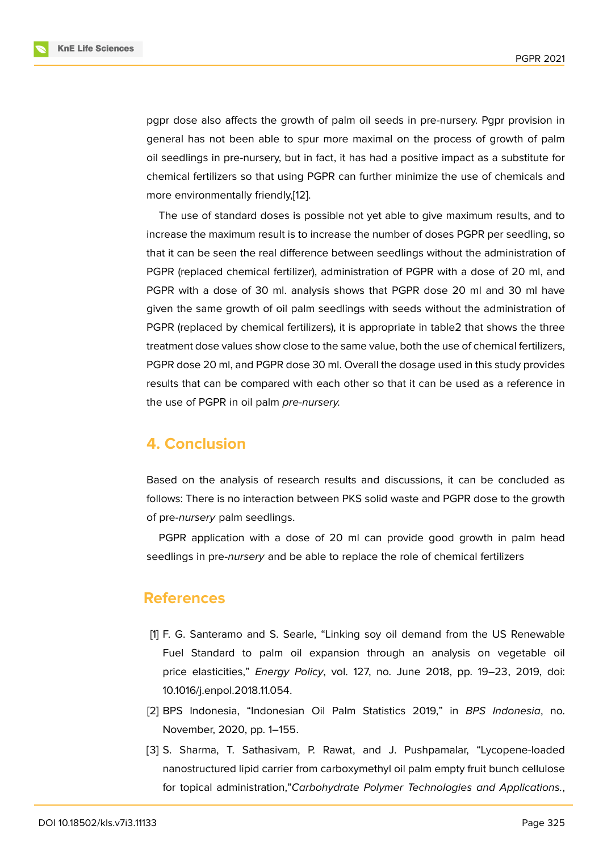pgpr dose also affects the growth of palm oil seeds in pre-nursery. Pgpr provision in general has not been able to spur more maximal on the process of growth of palm oil seedlings in pre-nursery, but in fact, it has had a positive impact as a substitute for chemical fertilizers so that using PGPR can further minimize the use of chemicals and more environmentally friendly,[12].

The use of standard doses is possible not yet able to give maximum results, and to increase the maximum result is to increase the number of doses PGPR per seedling, so that it can be seen the real diff[ere](#page-7-8)nce between seedlings without the administration of PGPR (replaced chemical fertilizer), administration of PGPR with a dose of 20 ml, and PGPR with a dose of 30 ml. analysis shows that PGPR dose 20 ml and 30 ml have given the same growth of oil palm seedlings with seeds without the administration of PGPR (replaced by chemical fertilizers), it is appropriate in table2 that shows the three treatment dose values show close to the same value, both the use of chemical fertilizers, PGPR dose 20 ml, and PGPR dose 30 ml. Overall the dosage used in this study provides results that can be compared with each other so that it can be used as a reference in the use of PGPR in oil palm *pre-nursery.*

## **4. Conclusion**

Based on the analysis of research results and discussions, it can be concluded as follows: There is no interaction between PKS solid waste and PGPR dose to the growth of pre-*nursery* palm seedlings.

PGPR application with a dose of 20 ml can provide good growth in palm head seedlings in pre-*nursery* and be able to replace the role of chemical fertilizers

### **References**

- [1] F. G. Santeramo and S. Searle, "Linking soy oil demand from the US Renewable Fuel Standard to palm oil expansion through an analysis on vegetable oil price elasticities," *Energy Policy*, vol. 127, no. June 2018, pp. 19–23, 2019, doi: 10.1016/j.enpol.2018.11.054.
- <span id="page-6-0"></span>[2] BPS Indonesia, "Indonesian Oil Palm Statistics 2019," in *BPS Indonesia*, no. November, 2020, pp. 1–155.
- <span id="page-6-2"></span><span id="page-6-1"></span>[3] S. Sharma, T. Sathasivam, P. Rawat, and J. Pushpamalar, "Lycopene-loaded nanostructured lipid carrier from carboxymethyl oil palm empty fruit bunch cellulose for topical administration,"*Carbohydrate Polymer Technologies and Applications.*,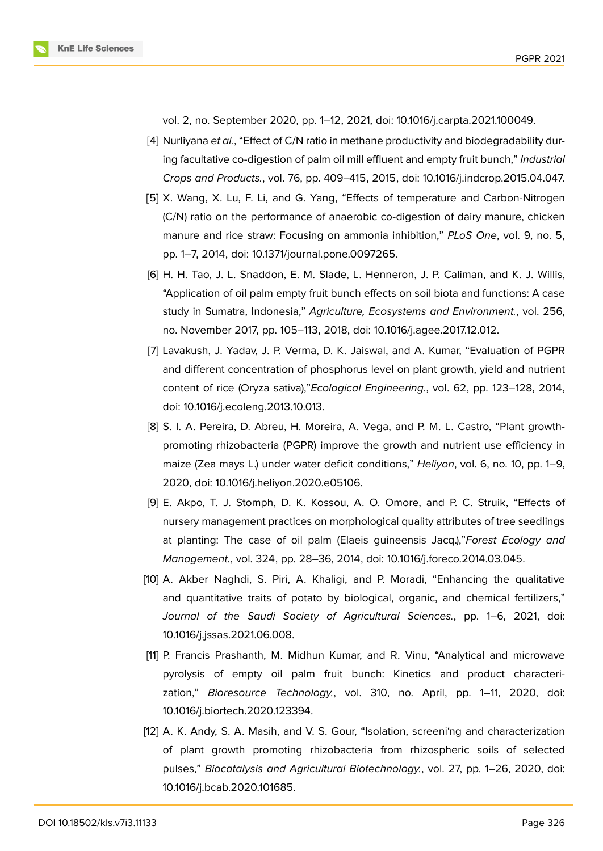

vol. 2, no. September 2020, pp. 1–12, 2021, doi: 10.1016/j.carpta.2021.100049.

- <span id="page-7-0"></span>[4] Nurliyana *et al.*, "Effect of C/N ratio in methane productivity and biodegradability during facultative co-digestion of palm oil mill effluent and empty fruit bunch," *Industrial Crops and Products.*, vol. 76, pp. 409–415, 2015, doi: 10.1016/j.indcrop.2015.04.047.
- <span id="page-7-1"></span>[5] X. Wang, X. Lu, F. Li, and G. Yang, "Effects of temperature and Carbon-Nitrogen (C/N) ratio on the performance of anaerobic co-digestion of dairy manure, chicken manure and rice straw: Focusing on ammonia inhibition," *PLoS One*, vol. 9, no. 5, pp. 1–7, 2014, doi: 10.1371/journal.pone.0097265.
- <span id="page-7-2"></span>[6] H. H. Tao, J. L. Snaddon, E. M. Slade, L. Henneron, J. P. Caliman, and K. J. Willis, "Application of oil palm empty fruit bunch effects on soil biota and functions: A case study in Sumatra, Indonesia," *Agriculture, Ecosystems and Environment.*, vol. 256, no. November 2017, pp. 105–113, 2018, doi: 10.1016/j.agee.2017.12.012.
- <span id="page-7-3"></span>[7] Lavakush, J. Yadav, J. P. Verma, D. K. Jaiswal, and A. Kumar, "Evaluation of PGPR and different concentration of phosphorus level on plant growth, yield and nutrient content of rice (Oryza sativa),"*Ecological Engineering.*, vol. 62, pp. 123–128, 2014, doi: 10.1016/j.ecoleng.2013.10.013.
- <span id="page-7-4"></span>[8] S. I. A. Pereira, D. Abreu, H. Moreira, A. Vega, and P. M. L. Castro, "Plant growthpromoting rhizobacteria (PGPR) improve the growth and nutrient use efficiency in maize (Zea mays L.) under water deficit conditions," *Heliyon*, vol. 6, no. 10, pp. 1–9, 2020, doi: 10.1016/j.heliyon.2020.e05106.
- <span id="page-7-5"></span>[9] E. Akpo, T. J. Stomph, D. K. Kossou, A. O. Omore, and P. C. Struik, "Effects of nursery management practices on morphological quality attributes of tree seedlings at planting: The case of oil palm (Elaeis guineensis Jacq.),"*Forest Ecology and Management.*, vol. 324, pp. 28–36, 2014, doi: 10.1016/j.foreco.2014.03.045.
- <span id="page-7-6"></span>[10] A. Akber Naghdi, S. Piri, A. Khaligi, and P. Moradi, "Enhancing the qualitative and quantitative traits of potato by biological, organic, and chemical fertilizers," *Journal of the Saudi Society of Agricultural Sciences.*, pp. 1–6, 2021, doi: 10.1016/j.jssas.2021.06.008.
- <span id="page-7-7"></span>[11] P. Francis Prashanth, M. Midhun Kumar, and R. Vinu, "Analytical and microwave pyrolysis of empty oil palm fruit bunch: Kinetics and product characterization," *Bioresource Technology.*, vol. 310, no. April, pp. 1–11, 2020, doi: 10.1016/j.biortech.2020.123394.
- <span id="page-7-8"></span>[12] A. K. Andy, S. A. Masih, and V. S. Gour, "Isolation, screeni'ng and characterization of plant growth promoting rhizobacteria from rhizospheric soils of selected pulses," *Biocatalysis and Agricultural Biotechnology.*, vol. 27, pp. 1–26, 2020, doi: 10.1016/j.bcab.2020.101685.